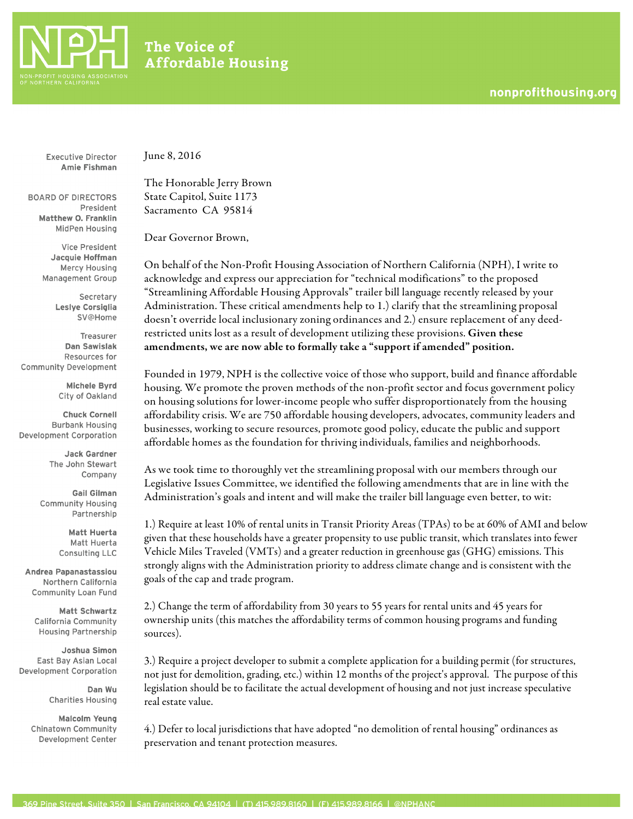

## The Voice of **Affordable Housing**

**Executive Director** Amie Fishman

**BOARD OF DIRECTORS** President Matthew O. Franklin MidPen Housing

> **Vice President** Jacquie Hoffman Mercy Housing Management Group

> > Secretary Leslye Corsiglia **SV@Home**

Treasurer **Dan Sawislak** Resources for Community Development

> Michele Byrd City of Oakland

**Chuck Cornell Burbank Housing Development Corporation** 

> **Jack Gardner** The John Stewart Company

**Gail Gilman Community Housing** Partnership

> **Matt Huerta** Matt Huerta Consulting LLC

**Andrea Papanastassiou** Northern California **Community Loan Fund** 

**Matt Schwartz** California Community **Housing Partnership** 

Joshua Simon East Bay Asian Local **Development Corporation** 

> Dan Wu **Charities Housing**

**Malcolm Yeung Chinatown Community** Development Center June 8, 2016

The Honorable Jerry Brown State Capitol, Suite 1173 Sacramento CA 95814

Dear Governor Brown,

On behalf of the Non-Profit Housing Association of Northern California (NPH), I write to acknowledge and express our appreciation for "technical modifications" to the proposed "Streamlining Affordable Housing Approvals" trailer bill language recently released by your Administration. These critical amendments help to 1.) clarify that the streamlining proposal doesn't override local inclusionary zoning ordinances and 2.) ensure replacement of any deedrestricted units lost as a result of development utilizing these provisions. Given these amendments, we are now able to formally take a "support if amended" position.

Founded in 1979, NPH is the collective voice of those who support, build and finance affordable housing. We promote the proven methods of the non-profit sector and focus government policy on housing solutions for lower-income people who suffer disproportionately from the housing affordability crisis. We are 750 affordable housing developers, advocates, community leaders and businesses, working to secure resources, promote good policy, educate the public and support affordable homes as the foundation for thriving individuals, families and neighborhoods.

As we took time to thoroughly vet the streamlining proposal with our members through our Legislative Issues Committee, we identified the following amendments that are in line with the Administration's goals and intent and will make the trailer bill language even better, to wit:

1.) Require at least 10% of rental units in Transit Priority Areas (TPAs) to be at 60% of AMI and below given that these households have a greater propensity to use public transit, which translates into fewer Vehicle Miles Traveled (VMTs) and a greater reduction in greenhouse gas (GHG) emissions. This strongly aligns with the Administration priority to address climate change and is consistent with the goals of the cap and trade program.

2.) Change the term of affordability from 30 years to 55 years for rental units and 45 years for ownership units (this matches the affordability terms of common housing programs and funding sources).

3.) Require a project developer to submit a complete application for a building permit (for structures, not just for demolition, grading, etc.) within 12 months of the project's approval. The purpose of this legislation should be to facilitate the actual development of housing and not just increase speculative real estate value.

4.) Defer to local jurisdictions that have adopted "no demolition of rental housing" ordinances as preservation and tenant protection measures.